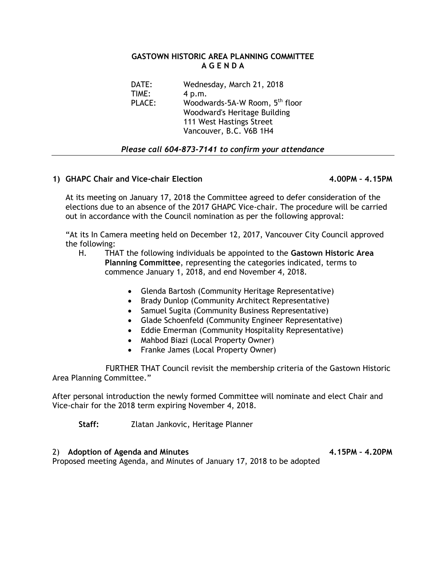## **GASTOWN HISTORIC AREA PLANNING COMMITTEE A G E N D A**

| Wednesday, March 21, 2018                  |
|--------------------------------------------|
| 4 p.m.                                     |
| Woodwards-5A-W Room, 5 <sup>th</sup> floor |
| Woodward's Heritage Building               |
| 111 West Hastings Street                   |
| Vancouver, B.C. V6B 1H4                    |
|                                            |

## *Please call 604-873-7141 to confirm your attendance*

## **1) GHAPC Chair and Vice-chair Election 4.00PM – 4.15PM**

At its meeting on January 17, 2018 the Committee agreed to defer consideration of the elections due to an absence of the 2017 GHAPC Vice-chair. The procedure will be carried out in accordance with the Council nomination as per the following approval:

"At its In Camera meeting held on December 12, 2017, Vancouver City Council approved the following:

- H. THAT the following individuals be appointed to the **Gastown Historic Area Planning Committee**, representing the categories indicated, terms to commence January 1, 2018, and end November 4, 2018.
	- Glenda Bartosh (Community Heritage Representative)
	- Brady Dunlop (Community Architect Representative)
	- Samuel Sugita (Community Business Representative)
	- Glade Schoenfeld (Community Engineer Representative)
	- Eddie Emerman (Community Hospitality Representative)
	- Mahbod Biazi (Local Property Owner)
	- Franke James (Local Property Owner)

 FURTHER THAT Council revisit the membership criteria of the Gastown Historic Area Planning Committee."

After personal introduction the newly formed Committee will nominate and elect Chair and Vice-chair for the 2018 term expiring November 4, 2018.

**Staff:** Zlatan Jankovic, Heritage Planner

2) Adoption of Agenda and Minutes **4.15PM - 4.20PM** Proposed meeting Agenda, and Minutes of January 17, 2018 to be adopted